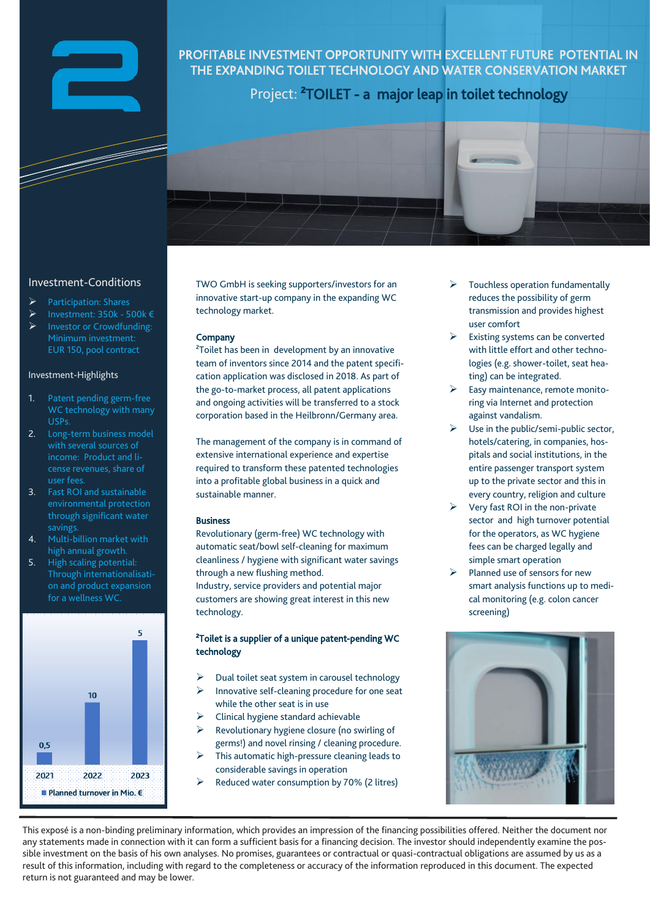

# PROFITABLE INVESTMENT OPPORTUNITY WITH EXCELLENT FUTURE POTENTIAL IN THE EXPANDING TOILET TECHNOLOGY AND WATER CONSERVATION MARKET

Project: <sup>2</sup>TOILET - a major leap in toilet technology



## Investment-Conditions

- ➢ Participation: Shares
- ➢ Investment: 350k 500k €
- Investor or Crowdfunding: EUR 150, pool contract

## Investment-Highlights

- 1. Patent pending germ-free WC technology with many USPs.
- 2. Long-term business model with several sources of income: Product and license revenues, share of user fees.
- 3. Fast ROI and sustainable environmental protection through significant water savings.
- 4. Multi-billion market with high annual growth.
- 5. High scaling potential: Through internationalisation and product expansion for a wellness WC.



TWO GmbH is seeking supporters/investors for an innovative start-up company in the expanding WC technology market.

## **Company**

²Toilet has been in development by an innovative team of inventors since 2014 and the patent specification application was disclosed in 2018. As part of the go-to-market process, all patent applications and ongoing activities will be transferred to a stock corporation based in the Heilbronn/Germany area.

The management of the company is in command of extensive international experience and expertise required to transform these patented technologies into a profitable global business in a quick and sustainable manner.

## Business

Revolutionary (germ-free) WC technology with automatic seat/bowl self-cleaning for maximum cleanliness / hygiene with significant water savings through a new flushing method. Industry, service providers and potential major customers are showing great interest in this new technology.

## ²Toilet is a supplier of a unique patent-pending WC technology

- ➢ Dual toilet seat system in carousel technology
- ➢ Innovative self-cleaning procedure for one seat while the other seat is in use
- ➢ Clinical hygiene standard achievable
- ➢ Revolutionary hygiene closure (no swirling of germs!) and novel rinsing / cleaning procedure.
- ➢ This automatic high-pressure cleaning leads to considerable savings in operation
- ➢ Reduced water consumption by 70% (2 litres)
- ➢ Touchless operation fundamentally reduces the possibility of germ transmission and provides highest user comfort
- Existing systems can be converted with little effort and other technologies (e.g. shower-toilet, seat heating) can be integrated.
- ➢ Easy maintenance, remote monitoring via Internet and protection against vandalism.
- Use in the public/semi-public sector, hotels/catering, in companies, hospitals and social institutions, in the entire passenger transport system up to the private sector and this in every country, religion and culture
- ➢ Very fast ROI in the non-private sector and high turnover potential for the operators, as WC hygiene fees can be charged legally and simple smart operation
- Planned use of sensors for new smart analysis functions up to medical monitoring (e.g. colon cancer screening)



This exposé is a non-binding preliminary information, which provides an impression of the financing possibilities offered. Neither the document nor any statements made in connection with it can form a sufficient basis for a financing decision. The investor should independently examine the possible investment on the basis of his own analyses. No promises, guarantees or contractual or quasi-contractual obligations are assumed by us as a result of this information, including with regard to the completeness or accuracy of the information reproduced in this document. The expected return is not guaranteed and may be lower.